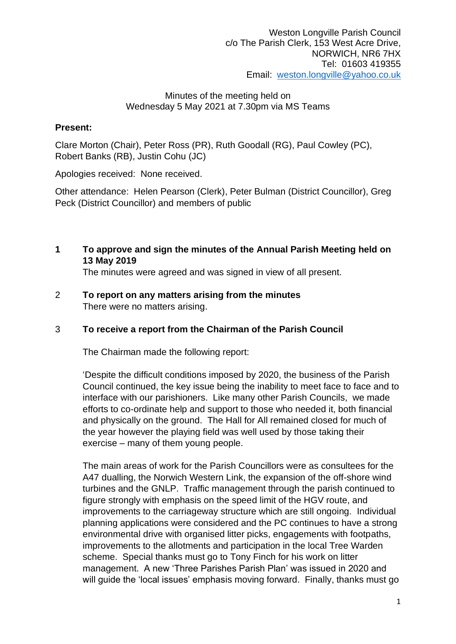## Minutes of the meeting held on Wednesday 5 May 2021 at 7.30pm via MS Teams

## **Present:**

Clare Morton (Chair), Peter Ross (PR), Ruth Goodall (RG), Paul Cowley (PC), Robert Banks (RB), Justin Cohu (JC)

Apologies received: None received.

Other attendance: Helen Pearson (Clerk), Peter Bulman (District Councillor), Greg Peck (District Councillor) and members of public

**1 To approve and sign the minutes of the Annual Parish Meeting held on 13 May 2019**

The minutes were agreed and was signed in view of all present.

2 **To report on any matters arising from the minutes** There were no matters arising.

## 3 **To receive a report from the Chairman of the Parish Council**

The Chairman made the following report:

'Despite the difficult conditions imposed by 2020, the business of the Parish Council continued, the key issue being the inability to meet face to face and to interface with our parishioners. Like many other Parish Councils, we made efforts to co-ordinate help and support to those who needed it, both financial and physically on the ground. The Hall for All remained closed for much of the year however the playing field was well used by those taking their exercise – many of them young people.

The main areas of work for the Parish Councillors were as consultees for the A47 dualling, the Norwich Western Link, the expansion of the off-shore wind turbines and the GNLP. Traffic management through the parish continued to figure strongly with emphasis on the speed limit of the HGV route, and improvements to the carriageway structure which are still ongoing. Individual planning applications were considered and the PC continues to have a strong environmental drive with organised litter picks, engagements with footpaths, improvements to the allotments and participation in the local Tree Warden scheme. Special thanks must go to Tony Finch for his work on litter management. A new 'Three Parishes Parish Plan' was issued in 2020 and will guide the 'local issues' emphasis moving forward. Finally, thanks must go